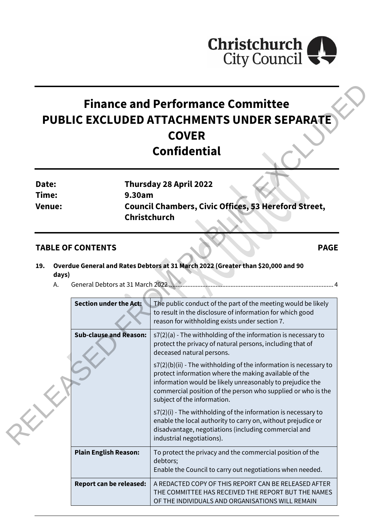

# **Finance and Performance Committee PUBLIC EXCLUDED ATTACHMENTS UNDER SEPARATE COVER Confidential**

| Date:  | Thursday 28 April 2022                                                      |
|--------|-----------------------------------------------------------------------------|
| Time:  | 9.30am                                                                      |
| Venue: | <b>Council Chambers, Civic Offices, 53 Hereford Street,</b><br>Christchurch |

## **TABLE OF CONTENTS PAGE**

### **19. Overdue General and Rates Debtors at 31 March 2022 (Greater than \$20,000 and 90 days)**

|                                 |                                  | <b>COVER</b>                                                                                                                                                                                                                                              |
|---------------------------------|----------------------------------|-----------------------------------------------------------------------------------------------------------------------------------------------------------------------------------------------------------------------------------------------------------|
|                                 |                                  | <b>Confidential</b>                                                                                                                                                                                                                                       |
| Date:<br>Time:<br><b>Venue:</b> | 9.30am                           | Thursday 28 April 2022<br><b>Council Chambers, Civic Offices, 53 Hereford Street,</b><br><b>Christchurch</b>                                                                                                                                              |
|                                 | <b>TABLE OF CONTENTS</b>         | <b>PAGE</b>                                                                                                                                                                                                                                               |
| 19.<br>days)<br>А.              | General Debtors at 31 March 2022 | Overdue General and Rates Debtors at 31 March 2022 (Greater than \$20,000 and 90                                                                                                                                                                          |
|                                 | <b>Section under the Act:</b>    | The public conduct of the part of the meeting would be likely<br>to result in the disclosure of information for which good<br>reason for withholding exists under section 7.                                                                              |
|                                 | <b>Sub-clause and Reason:</b>    | $s7(2)(a)$ - The withholding of the information is necessary to<br>protect the privacy of natural persons, including that of<br>deceased natural persons.                                                                                                 |
|                                 |                                  | $s7(2)(b)(ii)$ - The withholding of the information is necessary to<br>protect information where the making available of the<br>information would be likely unreasonably to prejudice the<br>commercial position of the person who supplied or who is the |
|                                 |                                  | subject of the information.                                                                                                                                                                                                                               |
| $\leftrightarrow$               |                                  | $s7(2)(i)$ - The withholding of the information is necessary to<br>enable the local authority to carry on, without prejudice or<br>disadvantage, negotiations (including commercial and<br>industrial negotiations).                                      |
|                                 | <b>Plain English Reason:</b>     | To protect the privacy and the commercial position of the<br>debtors;<br>Enable the Council to carry out negotiations when needed.                                                                                                                        |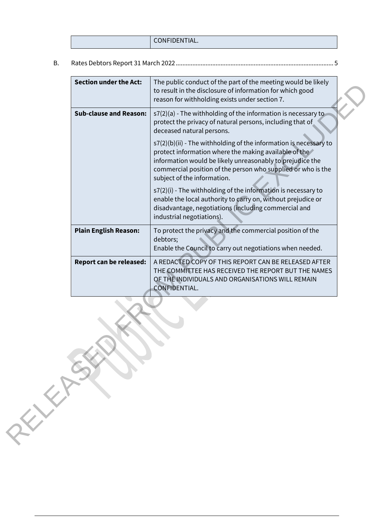B. Rates Debtors Report 31 March 2022............................................................................................... [5](#page-4-0)

| <b>Section under the Act:</b><br>The public conduct of the part of the meeting would be likely<br>to result in the disclosure of information for which good<br>reason for withholding exists under section 7.<br>$s7(2)(a)$ - The withholding of the information is necessary to<br><b>Sub-clause and Reason:</b><br>protect the privacy of natural persons, including that of<br>deceased natural persons.<br>$s7(2)(b)(ii)$ - The withholding of the information is necessary to<br>protect information where the making available of the<br>information would be likely unreasonably to prejudice the<br>commercial position of the person who supplied or who is the<br>subject of the information.<br>s7(2)(i) - The withholding of the information is necessary to<br>enable the local authority to carry on, without prejudice or<br>disadvantage, negotiations (including commercial and<br>industrial negotiations).<br>To protect the privacy and the commercial position of the<br><b>Plain English Reason:</b><br>debtors;<br>Enable the Council to carry out negotiations when needed.<br>A REDACTED COPY OF THIS REPORT CAN BE RELEASED AFTER<br>Report can be released:<br>THE COMMITTEE HAS RECEIVED THE REPORT BUT THE NAMES<br>OF THE INDIVIDUALS AND ORGANISATIONS WILL REMAIN<br>CONFIDENTIAL. |
|--------------------------------------------------------------------------------------------------------------------------------------------------------------------------------------------------------------------------------------------------------------------------------------------------------------------------------------------------------------------------------------------------------------------------------------------------------------------------------------------------------------------------------------------------------------------------------------------------------------------------------------------------------------------------------------------------------------------------------------------------------------------------------------------------------------------------------------------------------------------------------------------------------------------------------------------------------------------------------------------------------------------------------------------------------------------------------------------------------------------------------------------------------------------------------------------------------------------------------------------------------------------------------------------------------------------|
|                                                                                                                                                                                                                                                                                                                                                                                                                                                                                                                                                                                                                                                                                                                                                                                                                                                                                                                                                                                                                                                                                                                                                                                                                                                                                                                    |
|                                                                                                                                                                                                                                                                                                                                                                                                                                                                                                                                                                                                                                                                                                                                                                                                                                                                                                                                                                                                                                                                                                                                                                                                                                                                                                                    |
|                                                                                                                                                                                                                                                                                                                                                                                                                                                                                                                                                                                                                                                                                                                                                                                                                                                                                                                                                                                                                                                                                                                                                                                                                                                                                                                    |
|                                                                                                                                                                                                                                                                                                                                                                                                                                                                                                                                                                                                                                                                                                                                                                                                                                                                                                                                                                                                                                                                                                                                                                                                                                                                                                                    |
|                                                                                                                                                                                                                                                                                                                                                                                                                                                                                                                                                                                                                                                                                                                                                                                                                                                                                                                                                                                                                                                                                                                                                                                                                                                                                                                    |
|                                                                                                                                                                                                                                                                                                                                                                                                                                                                                                                                                                                                                                                                                                                                                                                                                                                                                                                                                                                                                                                                                                                                                                                                                                                                                                                    |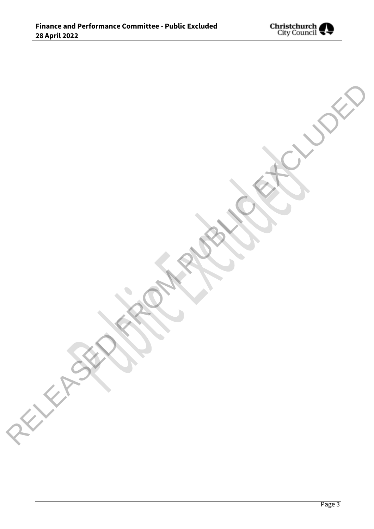

RELEASED FROM PUBLIC USED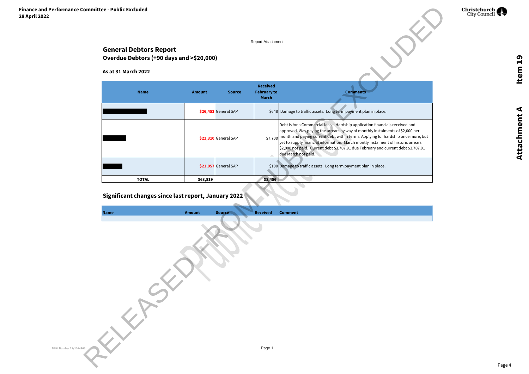| <b>General Debtors Report</b><br>Overdue Debtors (+90 days and >\$20,000) |               |                      | <b>Report Attachment</b>                              |                                                                                                                                                                                                                                                                                                                                                                                                                                            |
|---------------------------------------------------------------------------|---------------|----------------------|-------------------------------------------------------|--------------------------------------------------------------------------------------------------------------------------------------------------------------------------------------------------------------------------------------------------------------------------------------------------------------------------------------------------------------------------------------------------------------------------------------------|
| <b>As at 31 March 2022</b>                                                |               |                      |                                                       |                                                                                                                                                                                                                                                                                                                                                                                                                                            |
| <b>Name</b>                                                               | <b>Amount</b> | <b>Source</b>        | <b>Received</b><br><b>February to</b><br><b>March</b> | <b>Comments</b>                                                                                                                                                                                                                                                                                                                                                                                                                            |
|                                                                           |               | \$26,453 General SAP |                                                       | \$648 Damage to traffic assets. Long term payment plan in place.                                                                                                                                                                                                                                                                                                                                                                           |
|                                                                           |               | \$21,310 General SAP |                                                       | Debt is for a Commercial lease. Hardship application financials received and<br>approved. Was paying the arrears by way of monthly instalments of \$2,000 p<br>\$7,708 month and paying current debt within terms. Applying for hardship once mo<br>yet to supply financial information. March montly instalment of historic arre<br>\$2,000 not paid. Current debt \$3,707.91 due February and current debt \$3,70<br>due March not paid. |
|                                                                           |               | \$21,057 General SAP |                                                       | \$100 Damage to traffic assets. Long term payment plan in place.                                                                                                                                                                                                                                                                                                                                                                           |
| <b>TOTAL</b>                                                              | \$68,819      |                      | \$8,456                                               |                                                                                                                                                                                                                                                                                                                                                                                                                                            |

# **Significant changes since last report, January 2022**

<span id="page-3-0"></span>

| <b>General Debtors Report</b><br>Overdue Debtors (+90 days and >\$20,000) |               |                      | <b>Report Attachment</b>                              |                                                                                                                                                                                                                                                                                                                                                                                                                                                            |
|---------------------------------------------------------------------------|---------------|----------------------|-------------------------------------------------------|------------------------------------------------------------------------------------------------------------------------------------------------------------------------------------------------------------------------------------------------------------------------------------------------------------------------------------------------------------------------------------------------------------------------------------------------------------|
| As at 31 March 2022                                                       |               |                      |                                                       |                                                                                                                                                                                                                                                                                                                                                                                                                                                            |
| <b>Name</b>                                                               | <b>Amount</b> | <b>Source</b>        | <b>Received</b><br><b>February to</b><br><b>March</b> | <b>Comments</b>                                                                                                                                                                                                                                                                                                                                                                                                                                            |
|                                                                           |               | \$26,453 General SAP |                                                       | \$648 Damage to traffic assets. Long term payment plan in place.                                                                                                                                                                                                                                                                                                                                                                                           |
|                                                                           |               | \$21,310 General SAP |                                                       | Debt is for a Commercial lease. Hardship application financials received and<br>approved. Was paying the arrears by way of monthly instalments of \$2,000 per<br>\$7,708 month and paying current debt within terms. Applying for hardship once more, but<br>yet to supply financial information. March montly instalment of historic arrears<br>\$2,000 not paid. Current debt \$3,707.91 due February and current debt \$3,707.91<br>due March not paid. |
|                                                                           |               | \$21,057 General SAP |                                                       | \$100 Damage to traffic assets. Long term payment plan in place.                                                                                                                                                                                                                                                                                                                                                                                           |
|                                                                           | \$68,819      |                      | \$8,456                                               |                                                                                                                                                                                                                                                                                                                                                                                                                                                            |
| Significant changes since last report, January 2022                       |               |                      |                                                       |                                                                                                                                                                                                                                                                                                                                                                                                                                                            |
| <b>Name</b>                                                               | <b>Amount</b> | <b>Source</b>        | Received                                              | <b>Comment</b>                                                                                                                                                                                                                                                                                                                                                                                                                                             |



Item 19 **Attachment A Item 19** Attachment A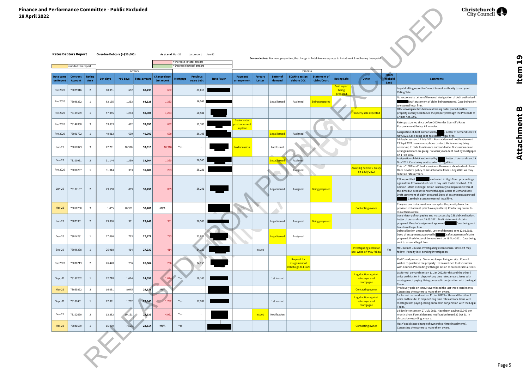<span id="page-4-0"></span>

|                             |                             |                         | Performance Committee - Public Excluded |          |                      |                                    |                 |                               |                   |                                                             |                          |                            |                                                           |                                    |                                          |                                                                                                               |                           | <b>Christ</b><br>City                                                                                                                                                                                                                                                                                                                                                              |
|-----------------------------|-----------------------------|-------------------------|-----------------------------------------|----------|----------------------|------------------------------------|-----------------|-------------------------------|-------------------|-------------------------------------------------------------|--------------------------|----------------------------|-----------------------------------------------------------|------------------------------------|------------------------------------------|---------------------------------------------------------------------------------------------------------------|---------------------------|------------------------------------------------------------------------------------------------------------------------------------------------------------------------------------------------------------------------------------------------------------------------------------------------------------------------------------------------------------------------------------|
|                             | <b>Rates Debtors Report</b> |                         | Overdue Debtors (>\$20,000)             |          |                      | As at end Mar-22                   |                 | Last report Jan-22            |                   |                                                             |                          |                            |                                                           |                                    |                                          |                                                                                                               |                           |                                                                                                                                                                                                                                                                                                                                                                                    |
| = Increase in total arrears |                             |                         |                                         |          |                      |                                    |                 |                               |                   |                                                             |                          |                            |                                                           |                                    |                                          | General notes: For most properties, the change in Total Arrears equates to Instalment 3 not having been paid. |                           |                                                                                                                                                                                                                                                                                                                                                                                    |
|                             | = Added this report         |                         |                                         |          | Arrears              |                                    |                 | = Decrease in total arrears   |                   |                                                             |                          |                            | Process                                                   |                                    |                                          |                                                                                                               |                           |                                                                                                                                                                                                                                                                                                                                                                                    |
| Date came<br>on Report      | <b>Contract</b><br>Account  | Rating<br>Area          | 90+ days                                | <90 days | <b>Total arrears</b> | <b>Change since</b><br>last report | <b>Mortgage</b> | <b>Previous</b><br>years debt | <b>Rate Payer</b> | Payment<br>arrangement                                      | <b>Arrears</b><br>Letter | <b>Letter of</b><br>demand | <b>ECAN to assign</b><br>debt to CCC                      | <b>Statement of</b><br>claim/Court | <b>Rating Sale</b>                       | Other                                                                                                         | Maori<br>Freehold<br>Land | <b>Comments</b>                                                                                                                                                                                                                                                                                                                                                                    |
| Pre 2020                    | 73075916                    | $\overline{2}$          | 88,051                                  | 682      | 88,733               | 682                                |                 | 81,016                        |                   |                                                             |                          |                            |                                                           |                                    | <b>Draft report</b><br>being<br>prepared |                                                                                                               |                           | Legal drafting report to Council to seek authority to carry out<br>Rating Sale.                                                                                                                                                                                                                                                                                                    |
| Pre 2020                    | 73098392                    | $\overline{1}$          | 63,195                                  | 1,333    | 64,528               | 1,333                              |                 | 56,569                        |                   |                                                             |                          | Legal issued               | Assigned                                                  | <b>Being prepared</b>              |                                          |                                                                                                               |                           | No response to Letter of Demand. Assignation of debt authorised<br>Draft statement of claim being prepared. Case being sent<br>to external legal firm.                                                                                                                                                                                                                             |
| Pre 2020                    | 73109569                    | $\mathbf{1}$            | 57,055                                  | 1,253    | 58,308               | 1,253                              |                 | 50,981                        |                   |                                                             |                          |                            |                                                           |                                    |                                          | Property sale expected                                                                                        |                           | Official Assignee has had a restraining order placed on this<br>property as they seek to sell the property through the Proceeds of<br>Crimes Act 1991.                                                                                                                                                                                                                             |
| Pre 2020                    | 73146358                    | $\overline{\mathbf{3}}$ | 53,033                                  | 662      | 53,695               | 662                                |                 | 51,709                        |                   | <b>Senior rates</b><br><mark>ostponement</mark><br>in place |                          |                            |                                                           |                                    |                                          |                                                                                                               |                           | Rates postponed since before 2009 under Council's Rates<br>Postponement Policy. All in order.                                                                                                                                                                                                                                                                                      |
| Pre 2020                    | 73091722                    | 1                       | 40,013                                  | 690      | 40,703               | 690                                |                 | 36,105                        |                   |                                                             |                          | Legal issued               | Assigned                                                  |                                    |                                          |                                                                                                               |                           | Assignation of debt authorised by<br>. Letter of demand sent 19<br>Nov 2021. Case being sent to externa egal firm.<br>14 day letter sent 12 July 2021. Formal demand notification sent                                                                                                                                                                                             |
| Jun-21                      | 73057023                    | $\overline{\mathbf{3}}$ | 22,701                                  | 10,318   | 33,019               | 10,318                             | Yes             |                               |                   | <mark>n discussion</mark>                                   |                          | 2nd formal                 |                                                           |                                    |                                          |                                                                                                               |                           | 13 Sept 2021. Have made phone contact. He is wanting bring<br>arrears up to date to refinance and subdivide. Discussions on an<br>arrangement are on-going. Previous years debt paid by mortgagee<br>on 1 Feb 2022.                                                                                                                                                                |
| Dec-20                      | 73100991                    | $\overline{2}$          | 31,144                                  | 1,360    | 32,504               | 1,360                              |                 | 26,565                        |                   |                                                             |                          | <mark>Legal issued</mark>  | Assigned                                                  |                                    |                                          |                                                                                                               |                           | Assignation of debt authorised by<br>Letter of demand sent 19<br>Nov 2021. Case being sent to externa egal firm.                                                                                                                                                                                                                                                                   |
| Pre 2020                    | 73096207                    | $\mathbf{1}$            | 31,014                                  | 393      | 31,407               | 293                                |                 | 28,231                        |                   |                                                             |                          |                            | Assigned                                                  |                                    |                                          | <b>Waiting new MFL policy</b><br>on 1 July 2022                                                               |                           | This is "1967 land". In discussion with owners about extent of use.<br>Once new MFL policy comes into force from 1 July 2022, we may<br>remit all rates arrears.                                                                                                                                                                                                                   |
| $Jun-20$                    | 73107197                    | $\overline{2}$          | 29,650                                  | 809      | 30,458               | 809                                |                 | 26,241                        |                   |                                                             |                          | Legal issued               | Assigned                                                  | <b>Being prepared</b>              |                                          |                                                                                                               |                           | embroiled in High Court proceedings<br>CSL report that<br>against the Crown and refuses to pay until that is resolved. CSL<br>opinion is that CCC legal action is unlikely to help resolve this at<br>this time but account is now with Legal. Letter of Demand sent.<br>Draft statement of claim prepared. Deed of assignment approved<br>Case being sent to external legal firm. |
| $Mar-22$                    | 73050230                    | $\overline{\mathbf{3}}$ | 1,855                                   | 28,351   | 30,206               | #N/A                               |                 |                               |                   |                                                             |                          |                            |                                                           |                                    |                                          | <b>Contacting owner</b>                                                                                       |                           | They are one instalment in arrears plus the penalty from the<br>previous instalment (which was paid late). Contacting owner to<br>make them aware.                                                                                                                                                                                                                                 |
| $Jun-20$                    | 73073301                    | $\overline{2}$          | 29,086                                  | 361      | 29,447               | 361                                |                 | 26,508                        |                   |                                                             |                          | Legal issued               | Assigned                                                  | <b>Being prepared</b>              |                                          |                                                                                                               |                           | Long history of not paying and no success by CSL debt collection.<br>Letter of demand sent 25.05.2021. Draft statement of claim<br>prepared. Deed of assignment approved<br>Case being sent<br>to external legal firm.                                                                                                                                                             |
| <b>Dec-20</b>               | 73014281                    | <sup>1</sup>            | 27,086                                  | 793      | 27,878               | 793                                |                 | 23,832                        |                   |                                                             | $\sim$ $\sim$            | Legal issued               | Assigned                                                  |                                    |                                          |                                                                                                               |                           | Debt collection unsuccessful. Letter of demand sent 12.01.2021.<br>Deed of assignment approved b Draft statement of claim<br>prepared. Fresh letter of demand sent on 19 Nov 2021. Case being<br>sent to external legal firm.                                                                                                                                                      |
| $Sep-20$                    | 73096298                    | $\mathbf{1}$            | 26,918                                  | 414      | 27,332               | 414                                |                 | 24,329                        |                   |                                                             | Issued                   |                            |                                                           |                                    |                                          | Investigating extent of<br>use. Write-off may follow                                                          | Yes                       | MFL but not unused. Investigating extent of use. Write-off may<br>follow. Penalty lock pending investigation.                                                                                                                                                                                                                                                                      |
| Pre 2020                    | 73036713                    | $\overline{2}$          | 26,428                                  | 236      | 26,664               | 236                                |                 | 24,259                        |                   |                                                             |                          |                            | <b>Request for</b><br>assignment of<br>Debt to go to ECAN |                                    |                                          |                                                                                                               |                           | Red Zoned property. Owner no longer living on site. Council<br>wishes to purchase the property. He has refused to discuss this<br>with Council. Proceeding with legal action to recover rates arrears.                                                                                                                                                                             |
| Sept-21                     | 73187202                    | $\mathbf{1}$            | 22,718                                  | 1,674    | 24,392               | 1,674                              | Yes             | 18,103                        |                   |                                                             |                          | 1st formal                 |                                                           |                                    |                                          | Legal action against<br>ratepayer and<br>mortgagee                                                            |                           | 1st formal demand sent on 11 Jan 2022 for this and the other 7<br>units on this site. In dispute/long time rates arrears. Issue with<br>mortagee not paying. Being pursued in conjunction with the Legal<br>Team.                                                                                                                                                                  |
| $Mar-22$                    | 73055852                    | $\overline{\mathbf{3}}$ | 16,091                                  | 8,045    | 24,136               | #N/A                               |                 |                               |                   |                                                             |                          |                            |                                                           |                                    |                                          | <b>Contacting owner</b>                                                                                       |                           | Previously paid on time. Have missed the last three instalments.<br>Contacting the owners to make them aware.<br>1st formal demand sent on 11 Jan 2022 for this and the other 7                                                                                                                                                                                                    |
| Sept-21                     | 73187401                    | $\overline{1}$          | 22,061                                  | 1,782    | 23,843               | 1,782                              | Yes             | 17,287                        |                   |                                                             |                          | 1st formal                 |                                                           |                                    |                                          | Legal action against<br>ratepayer and<br>mortgagee                                                            |                           | units on this site. In dispute/long time rates arrears. Issue with<br>mortagee not paying. Being pursued in conjunction with the Legal<br>Team.                                                                                                                                                                                                                                    |
| Dec-21                      | 73102650                    | $\overline{2}$          | 13,382                                  | 10,151   | 23,533               | 4,061                              | Yes             | $\sim$                        |                   |                                                             | <b>Issued</b>            | Notification               |                                                           |                                    |                                          |                                                                                                               |                           | 14 day letter sent on 27 July 2021. Have been paying \$3,045 per<br>month since. Formal demand notification issued 22 Oct 21. In<br>discussion regarding arrears.                                                                                                                                                                                                                  |
| $Mar-22$                    | 73041669                    | $\mathbf{1}$            | 15,009                                  | 7,505    | 22,514               | #N/A                               | Yes             |                               |                   |                                                             |                          |                            |                                                           |                                    |                                          | <b>Contacting owner</b>                                                                                       |                           | Hasn't paid since change of ownership (three instalments).<br>Contacting the owners to make them aware.                                                                                                                                                                                                                                                                            |
|                             |                             |                         |                                         |          |                      |                                    |                 |                               |                   |                                                             |                          |                            |                                                           |                                    |                                          |                                                                                                               |                           |                                                                                                                                                                                                                                                                                                                                                                                    |